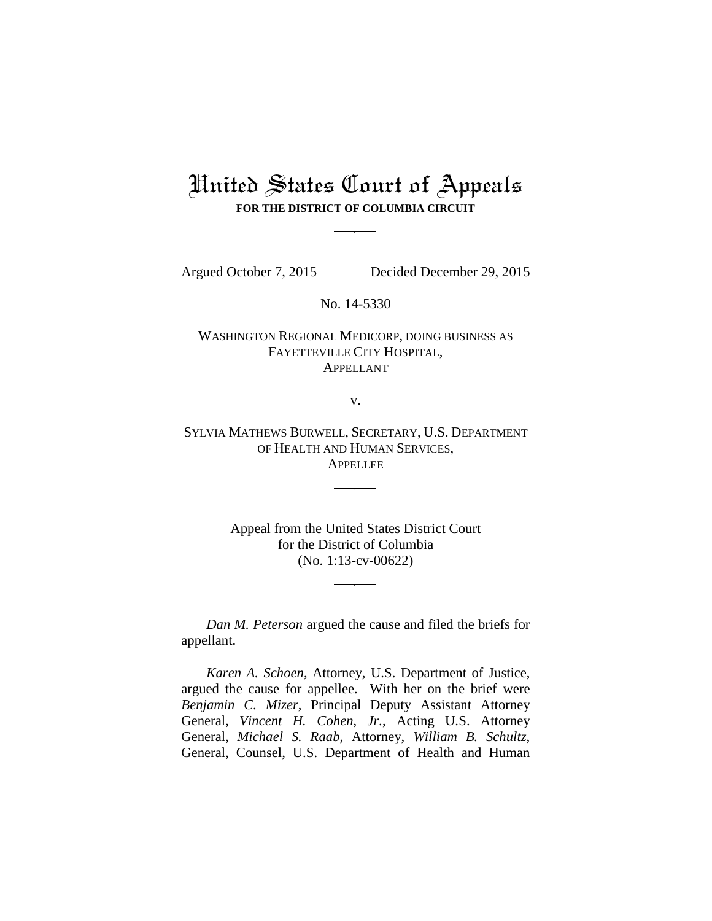# United States Court of Appeals **FOR THE DISTRICT OF COLUMBIA CIRCUIT**

Argued October 7, 2015 Decided December 29, 2015

No. 14-5330

## WASHINGTON REGIONAL MEDICORP, DOING BUSINESS AS FAYETTEVILLE CITY HOSPITAL, APPELLANT

v.

SYLVIA MATHEWS BURWELL, SECRETARY, U.S. DEPARTMENT OF HEALTH AND HUMAN SERVICES, **APPELLEE** 

> Appeal from the United States District Court for the District of Columbia (No. 1:13-cv-00622)

*Dan M. Peterson* argued the cause and filed the briefs for appellant.

*Karen A. Schoen*, Attorney, U.S. Department of Justice, argued the cause for appellee. With her on the brief were *Benjamin C. Mizer*, Principal Deputy Assistant Attorney General, *Vincent H. Cohen*, *Jr.*, Acting U.S. Attorney General, *Michael S. Raab*, Attorney, *William B. Schultz*, General, Counsel, U.S. Department of Health and Human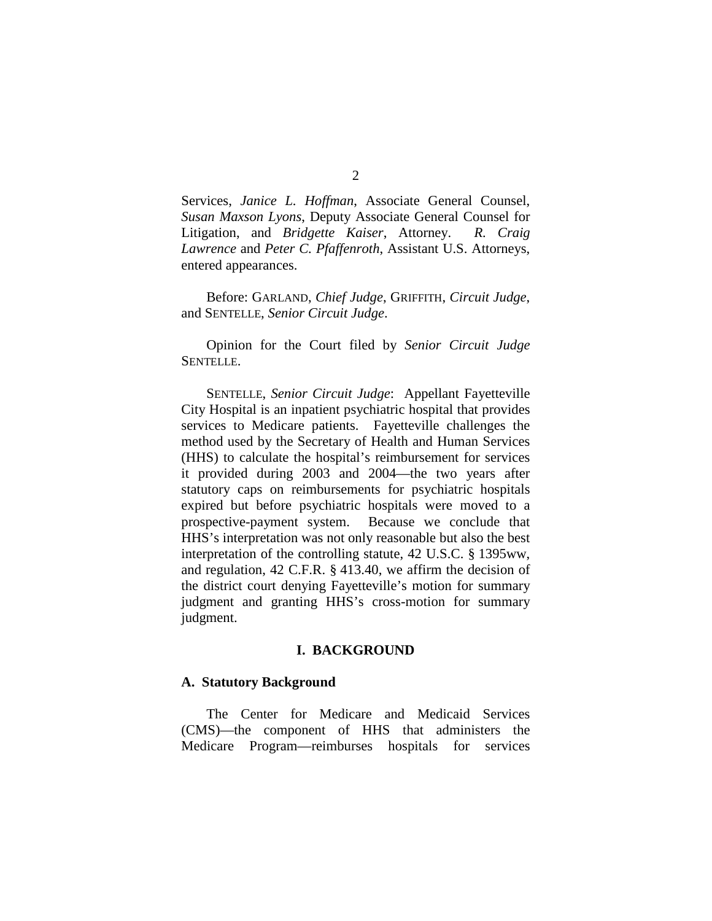Services, *Janice L. Hoffman*, Associate General Counsel, *Susan Maxson Lyons*, Deputy Associate General Counsel for Litigation, and *Bridgette Kaiser*, Attorney. *R. Craig Lawrence* and *Peter C. Pfaffenroth*, Assistant U.S. Attorneys, entered appearances.

Before: GARLAND, *Chief Judge*, GRIFFITH, *Circuit Judge*, and SENTELLE, *Senior Circuit Judge*.

Opinion for the Court filed by *Senior Circuit Judge* SENTELLE.

SENTELLE, *Senior Circuit Judge*: Appellant Fayetteville City Hospital is an inpatient psychiatric hospital that provides services to Medicare patients. Fayetteville challenges the method used by the Secretary of Health and Human Services (HHS) to calculate the hospital's reimbursement for services it provided during 2003 and 2004—the two years after statutory caps on reimbursements for psychiatric hospitals expired but before psychiatric hospitals were moved to a prospective-payment system. Because we conclude that HHS's interpretation was not only reasonable but also the best interpretation of the controlling statute, 42 U.S.C. § 1395ww, and regulation, 42 C.F.R. § 413.40, we affirm the decision of the district court denying Fayetteville's motion for summary judgment and granting HHS's cross-motion for summary judgment.

#### **I. BACKGROUND**

#### **A. Statutory Background**

The Center for Medicare and Medicaid Services (CMS)—the component of HHS that administers the Medicare Program—reimburses hospitals for services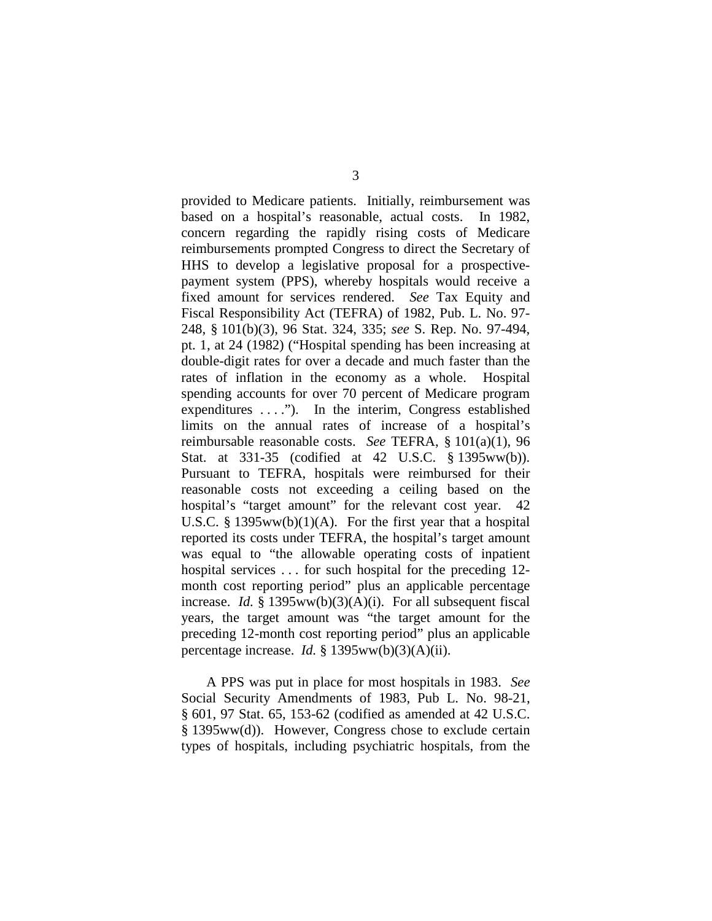provided to Medicare patients. Initially, reimbursement was based on a hospital's reasonable, actual costs. In 1982, concern regarding the rapidly rising costs of Medicare reimbursements prompted Congress to direct the Secretary of HHS to develop a legislative proposal for a prospectivepayment system (PPS), whereby hospitals would receive a fixed amount for services rendered. *See* Tax Equity and Fiscal Responsibility Act (TEFRA) of 1982, Pub. L. No. 97- 248, § 101(b)(3), 96 Stat. 324, 335; *see* S. Rep. No. 97-494, pt. 1, at 24 (1982) ("Hospital spending has been increasing at double-digit rates for over a decade and much faster than the rates of inflation in the economy as a whole. Hospital spending accounts for over 70 percent of Medicare program expenditures ...."). In the interim, Congress established limits on the annual rates of increase of a hospital's reimbursable reasonable costs. *See* TEFRA, § 101(a)(1), 96 Stat. at 331-35 (codified at 42 U.S.C. § 1395ww(b)). Pursuant to TEFRA, hospitals were reimbursed for their reasonable costs not exceeding a ceiling based on the hospital's "target amount" for the relevant cost year. 42 U.S.C. § 1395ww(b)(1)(A). For the first year that a hospital reported its costs under TEFRA, the hospital's target amount was equal to "the allowable operating costs of inpatient hospital services . . . for such hospital for the preceding 12 month cost reporting period" plus an applicable percentage increase. *Id.* § 1395ww(b)(3)(A)(i). For all subsequent fiscal years, the target amount was "the target amount for the preceding 12-month cost reporting period" plus an applicable percentage increase. *Id.* § 1395ww(b)(3)(A)(ii).

A PPS was put in place for most hospitals in 1983. *See* Social Security Amendments of 1983, Pub L. No. 98-21, § 601, 97 Stat. 65, 153-62 (codified as amended at 42 U.S.C. § 1395ww(d)). However, Congress chose to exclude certain types of hospitals, including psychiatric hospitals, from the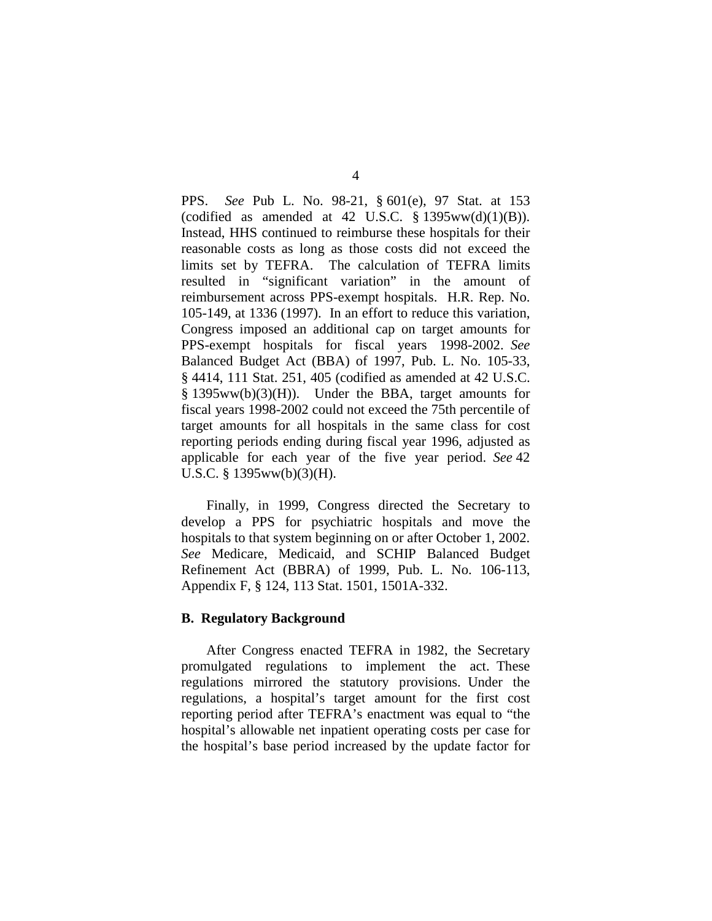PPS. *See* Pub L. No. 98-21, § 601(e), 97 Stat. at 153 (codified as amended at 42 U.S.C.  $\S$  1395ww(d)(1)(B)). Instead, HHS continued to reimburse these hospitals for their reasonable costs as long as those costs did not exceed the limits set by TEFRA. The calculation of TEFRA limits resulted in "significant variation" in the amount of reimbursement across PPS-exempt hospitals. H.R. Rep. No. 105-149, at 1336 (1997). In an effort to reduce this variation, Congress imposed an additional cap on target amounts for PPS-exempt hospitals for fiscal years 1998-2002. *See* Balanced Budget Act (BBA) of 1997, Pub. L. No. 105-33, § 4414, 111 Stat. 251, 405 (codified as amended at 42 U.S.C. § 1395ww(b)(3)(H)). Under the BBA, target amounts for fiscal years 1998-2002 could not exceed the 75th percentile of target amounts for all hospitals in the same class for cost reporting periods ending during fiscal year 1996, adjusted as applicable for each year of the five year period. *See* 42 U.S.C. § 1395ww(b)(3)(H).

Finally, in 1999, Congress directed the Secretary to develop a PPS for psychiatric hospitals and move the hospitals to that system beginning on or after October 1, 2002. *See* Medicare, Medicaid, and SCHIP Balanced Budget Refinement Act (BBRA) of 1999, Pub. L. No. 106-113, Appendix F, § 124, 113 Stat. 1501, 1501A-332.

#### **B. Regulatory Background**

After Congress enacted TEFRA in 1982, the Secretary promulgated regulations to implement the act. These regulations mirrored the statutory provisions. Under the regulations, a hospital's target amount for the first cost reporting period after TEFRA's enactment was equal to "the hospital's allowable net inpatient operating costs per case for the hospital's base period increased by the update factor for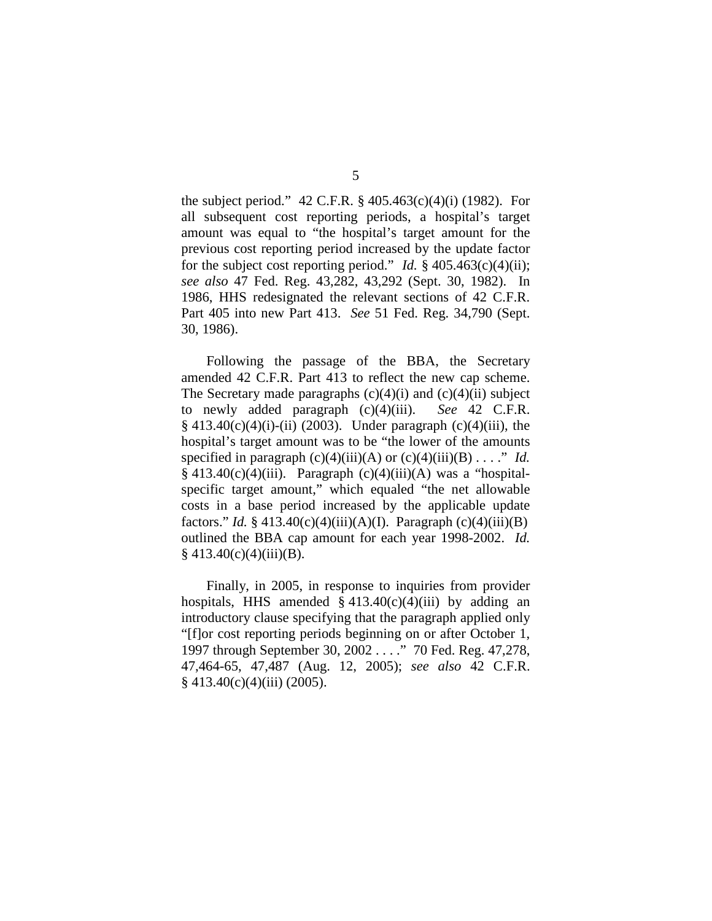the subject period." 42 C.F.R. § 405.463(c)(4)(i) (1982). For all subsequent cost reporting periods, a hospital's target amount was equal to "the hospital's target amount for the previous cost reporting period increased by the update factor for the subject cost reporting period." *Id.* § 405.463(c)(4)(ii); *see also* 47 Fed. Reg. 43,282, 43,292 (Sept. 30, 1982). In 1986, HHS redesignated the relevant sections of 42 C.F.R. Part 405 into new Part 413. *See* 51 Fed. Reg. 34,790 (Sept. 30, 1986).

Following the passage of the BBA, the Secretary amended 42 C.F.R. Part 413 to reflect the new cap scheme. The Secretary made paragraphs  $(c)(4)(i)$  and  $(c)(4)(ii)$  subject to newly added paragraph (c)(4)(iii). *See* 42 C.F.R.  $§$  413.40(c)(4)(i)-(ii) (2003). Under paragraph (c)(4)(iii), the hospital's target amount was to be "the lower of the amounts specified in paragraph  $(c)(4)(iii)(A)$  or  $(c)(4)(iii)(B) \ldots$ ." *Id.*  $§$  413.40(c)(4)(iii). Paragraph (c)(4)(iii)(A) was a "hospitalspecific target amount," which equaled "the net allowable costs in a base period increased by the applicable update factors." *Id.* § 413.40(c)(4)(iii)(A)(I). Paragraph (c)(4)(iii)(B) outlined the BBA cap amount for each year 1998-2002. *Id.*  $§$  413.40(c)(4)(iii)(B).

Finally, in 2005, in response to inquiries from provider hospitals, HHS amended  $\S$  413.40(c)(4)(iii) by adding an introductory clause specifying that the paragraph applied only "[f]or cost reporting periods beginning on or after October 1, 1997 through September 30, 2002 . . . ." 70 Fed. Reg. 47,278, 47,464-65, 47,487 (Aug. 12, 2005); *see also* 42 C.F.R.  $§$  413.40(c)(4)(iii) (2005).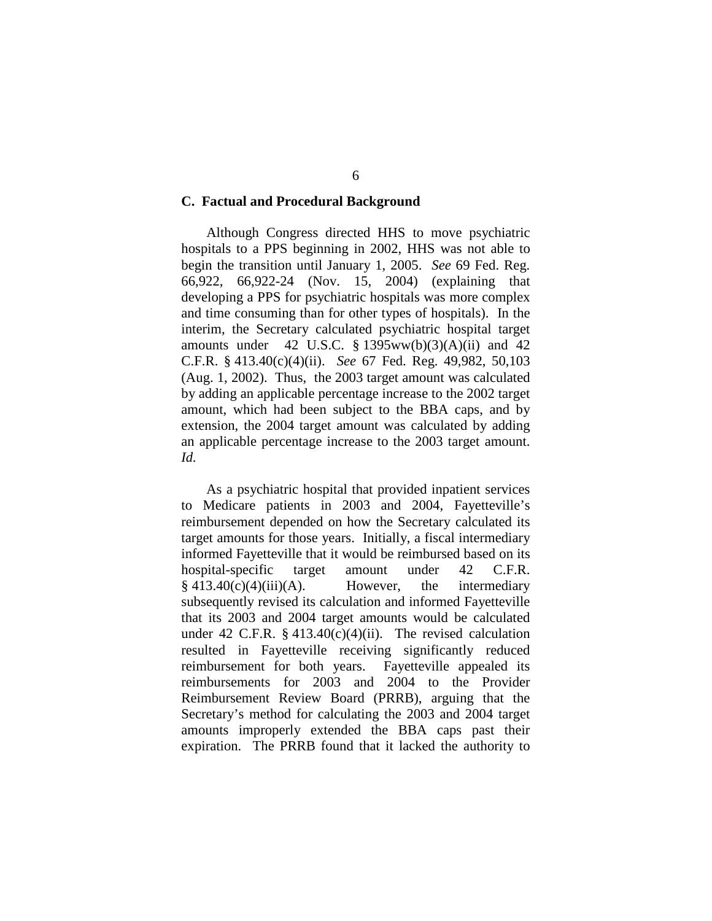## **C. Factual and Procedural Background**

Although Congress directed HHS to move psychiatric hospitals to a PPS beginning in 2002, HHS was not able to begin the transition until January 1, 2005. *See* 69 Fed. Reg. 66,922, 66,922-24 (Nov. 15, 2004) (explaining that developing a PPS for psychiatric hospitals was more complex and time consuming than for other types of hospitals). In the interim, the Secretary calculated psychiatric hospital target amounts under 42 U.S.C.  $\S$  1395ww(b)(3)(A)(ii) and 42 C.F.R. § 413.40(c)(4)(ii). *See* 67 Fed. Reg. 49,982, 50,103 (Aug. 1, 2002). Thus, the 2003 target amount was calculated by adding an applicable percentage increase to the 2002 target amount, which had been subject to the BBA caps, and by extension, the 2004 target amount was calculated by adding an applicable percentage increase to the 2003 target amount. *Id.*

As a psychiatric hospital that provided inpatient services to Medicare patients in 2003 and 2004, Fayetteville's reimbursement depended on how the Secretary calculated its target amounts for those years. Initially, a fiscal intermediary informed Fayetteville that it would be reimbursed based on its hospital-specific target amount under 42 C.F.R.  $§$  413.40(c)(4)(iii)(A). However, the intermediary subsequently revised its calculation and informed Fayetteville that its 2003 and 2004 target amounts would be calculated under 42 C.F.R.  $\S$  413.40(c)(4)(ii). The revised calculation resulted in Fayetteville receiving significantly reduced reimbursement for both years. Fayetteville appealed its reimbursements for 2003 and 2004 to the Provider Reimbursement Review Board (PRRB), arguing that the Secretary's method for calculating the 2003 and 2004 target amounts improperly extended the BBA caps past their expiration. The PRRB found that it lacked the authority to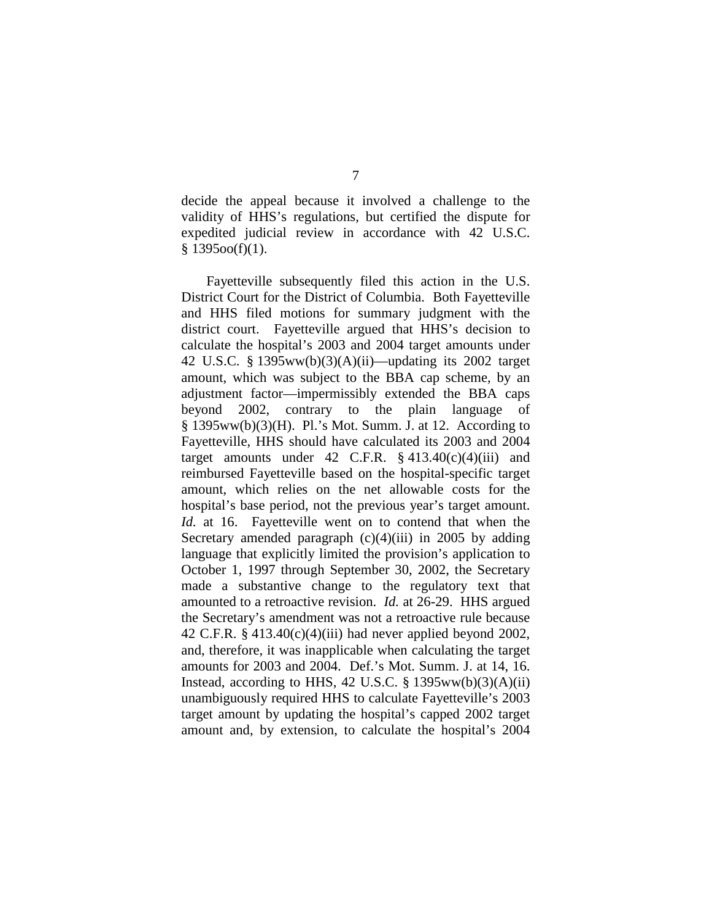decide the appeal because it involved a challenge to the validity of HHS's regulations, but certified the dispute for expedited judicial review in accordance with 42 U.S.C.  $§ 1395oo(f)(1).$ 

Fayetteville subsequently filed this action in the U.S. District Court for the District of Columbia. Both Fayetteville and HHS filed motions for summary judgment with the district court. Fayetteville argued that HHS's decision to calculate the hospital's 2003 and 2004 target amounts under 42 U.S.C. § 1395ww(b)(3)(A)(ii)—updating its 2002 target amount, which was subject to the BBA cap scheme, by an adjustment factor—impermissibly extended the BBA caps beyond 2002, contrary to the plain language of  $§$  1395ww(b)(3)(H). Pl.'s Mot. Summ. J. at 12. According to Fayetteville, HHS should have calculated its 2003 and 2004 target amounts under 42 C.F.R.  $\S$  413.40(c)(4)(iii) and reimbursed Fayetteville based on the hospital-specific target amount, which relies on the net allowable costs for the hospital's base period, not the previous year's target amount. *Id.* at 16. Fayetteville went on to contend that when the Secretary amended paragraph  $(c)(4)(iii)$  in 2005 by adding language that explicitly limited the provision's application to October 1, 1997 through September 30, 2002, the Secretary made a substantive change to the regulatory text that amounted to a retroactive revision. *Id.* at 26-29. HHS argued the Secretary's amendment was not a retroactive rule because 42 C.F.R. § 413.40(c)(4)(iii) had never applied beyond 2002, and, therefore, it was inapplicable when calculating the target amounts for 2003 and 2004. Def.'s Mot. Summ. J. at 14, 16. Instead, according to HHS, 42 U.S.C.  $\S$  1395ww(b)(3)(A)(ii) unambiguously required HHS to calculate Fayetteville's 2003 target amount by updating the hospital's capped 2002 target amount and, by extension, to calculate the hospital's 2004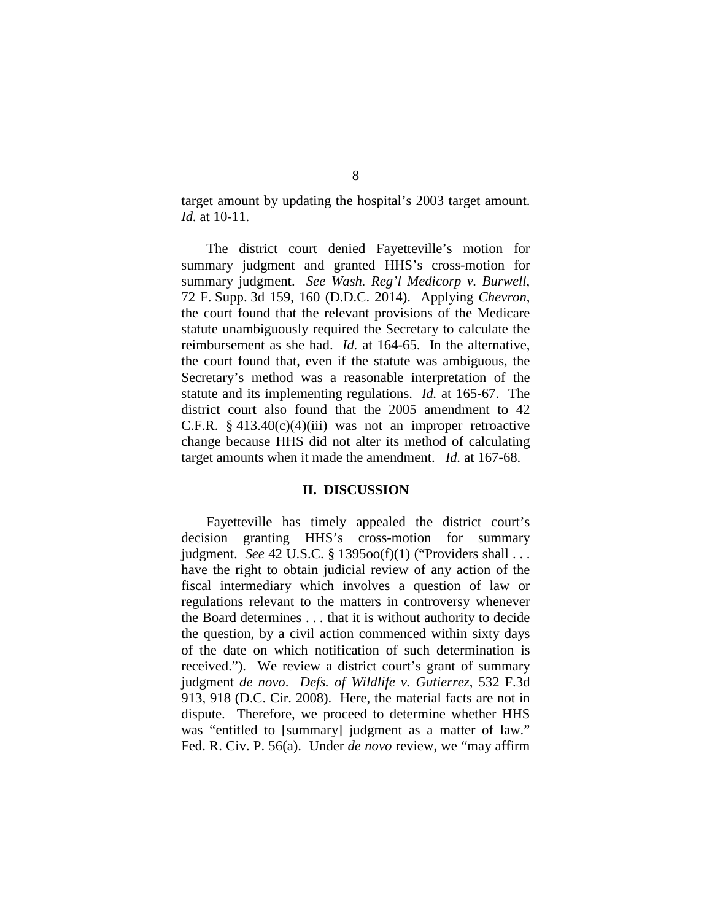target amount by updating the hospital's 2003 target amount. *Id.* at 10-11.

The district court denied Fayetteville's motion for summary judgment and granted HHS's cross-motion for summary judgment. *See Wash. Reg'l Medicorp v. Burwell*, 72 F. Supp. 3d 159, 160 (D.D.C. 2014).Applying *Chevron*, the court found that the relevant provisions of the Medicare statute unambiguously required the Secretary to calculate the reimbursement as she had. *Id.* at 164-65. In the alternative, the court found that, even if the statute was ambiguous, the Secretary's method was a reasonable interpretation of the statute and its implementing regulations. *Id.* at 165-67. The district court also found that the 2005 amendment to 42 C.F.R.  $§$  413.40(c)(4)(iii) was not an improper retroactive change because HHS did not alter its method of calculating target amounts when it made the amendment. *Id.* at 167-68.

## **II. DISCUSSION**

Fayetteville has timely appealed the district court's decision granting HHS's cross-motion for summary judgment. *See* 42 U.S.C. § 1395oo(f)(1) ("Providers shall . . . have the right to obtain judicial review of any action of the fiscal intermediary which involves a question of law or regulations relevant to the matters in controversy whenever the Board determines . . . that it is without authority to decide the question, by a civil action commenced within sixty days of the date on which notification of such determination is received."). We review a district court's grant of summary judgment *de novo*. *Defs. of Wildlife v. Gutierrez*, 532 F.3d 913, 918 (D.C. Cir. 2008). Here, the material facts are not in dispute. Therefore, we proceed to determine whether HHS was "entitled to [summary] judgment as a matter of law." Fed. R. Civ. P. 56(a). Under *de novo* review, we "may affirm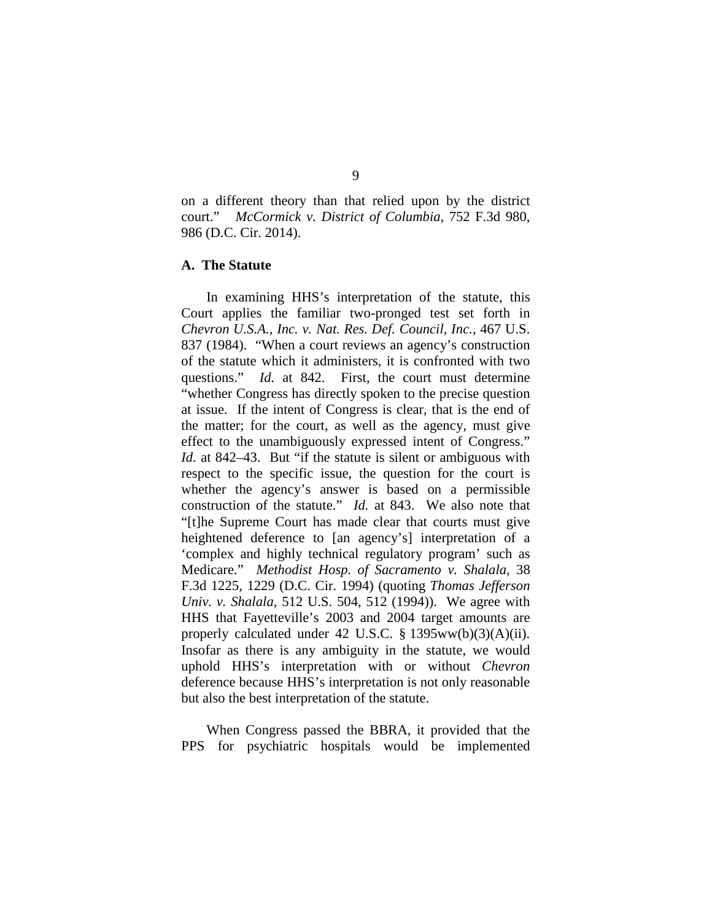on a different theory than that relied upon by the district court." *McCormick v. District of Columbia*, 752 F.3d 980, 986 (D.C. Cir. 2014).

## **A. The Statute**

In examining HHS's interpretation of the statute, this Court applies the familiar two-pronged test set forth in *Chevron U.S.A., Inc. v. Nat. Res. Def. Council, Inc.*, 467 U.S. 837 (1984). "When a court reviews an agency's construction of the statute which it administers, it is confronted with two questions." *Id.* at 842. First, the court must determine "whether Congress has directly spoken to the precise question at issue. If the intent of Congress is clear, that is the end of the matter; for the court, as well as the agency, must give effect to the unambiguously expressed intent of Congress." *Id.* at 842–43. But "if the statute is silent or ambiguous with respect to the specific issue, the question for the court is whether the agency's answer is based on a permissible construction of the statute." *Id.* at 843. We also note that "[t]he Supreme Court has made clear that courts must give heightened deference to [an agency's] interpretation of a 'complex and highly technical regulatory program' such as Medicare." *Methodist Hosp. of Sacramento v. Shalala*, 38 F.3d 1225, 1229 (D.C. Cir. 1994) (quoting *Thomas Jefferson Univ. v. Shalala*, 512 U.S. 504, 512 (1994)). We agree with HHS that Fayetteville's 2003 and 2004 target amounts are properly calculated under 42 U.S.C. § 1395ww(b)(3)(A)(ii). Insofar as there is any ambiguity in the statute, we would uphold HHS's interpretation with or without *Chevron* deference because HHS's interpretation is not only reasonable but also the best interpretation of the statute.

When Congress passed the BBRA, it provided that the PPS for psychiatric hospitals would be implemented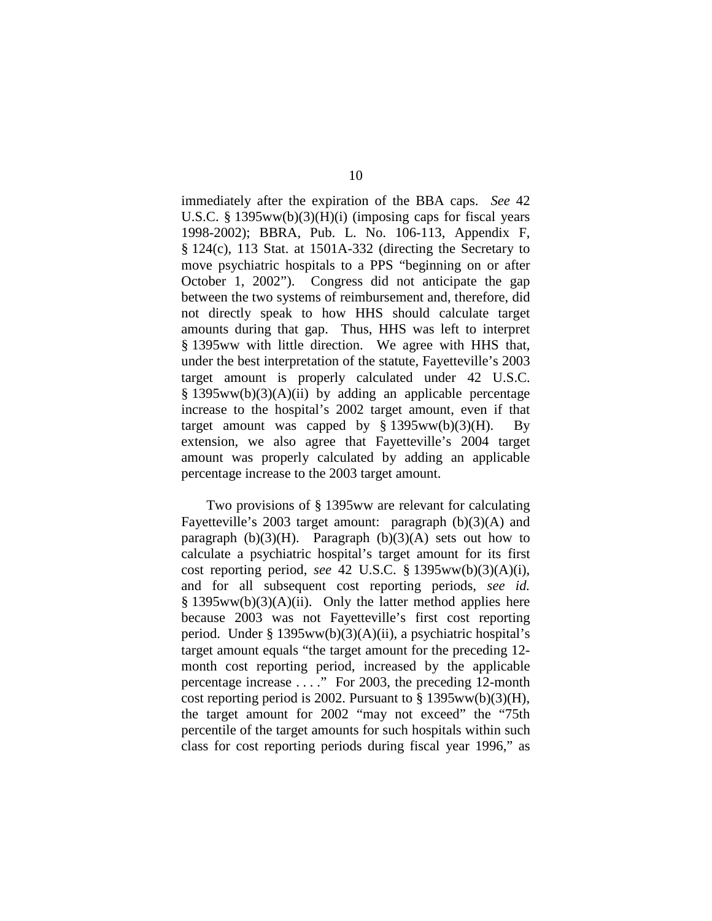immediately after the expiration of the BBA caps. *See* 42 U.S.C. § 1395ww(b)(3)(H)(i) (imposing caps for fiscal years 1998-2002); BBRA, Pub. L. No. 106-113, Appendix F, § 124(c), 113 Stat. at 1501A-332 (directing the Secretary to move psychiatric hospitals to a PPS "beginning on or after October 1, 2002"). Congress did not anticipate the gap between the two systems of reimbursement and, therefore, did not directly speak to how HHS should calculate target amounts during that gap. Thus, HHS was left to interpret § 1395ww with little direction. We agree with HHS that, under the best interpretation of the statute, Fayetteville's 2003 target amount is properly calculated under 42 U.S.C. § 1395ww(b)(3)(A)(ii) by adding an applicable percentage increase to the hospital's 2002 target amount, even if that target amount was capped by  $\S 1395ww(b)(3)(H)$ . By extension, we also agree that Fayetteville's 2004 target amount was properly calculated by adding an applicable percentage increase to the 2003 target amount.

Two provisions of § 1395ww are relevant for calculating Fayetteville's 2003 target amount: paragraph (b)(3)(A) and paragraph  $(b)(3)(H)$ . Paragraph  $(b)(3)(A)$  sets out how to calculate a psychiatric hospital's target amount for its first cost reporting period, *see* 42 U.S.C. § 1395ww(b)(3)(A)(i), and for all subsequent cost reporting periods, *see id.*  $§$  1395ww(b)(3)(A)(ii). Only the latter method applies here because 2003 was not Fayetteville's first cost reporting period. Under § 1395ww(b)(3)(A)(ii), a psychiatric hospital's target amount equals "the target amount for the preceding 12 month cost reporting period, increased by the applicable percentage increase . . . ." For 2003, the preceding 12-month cost reporting period is 2002. Pursuant to  $\S$  1395ww(b)(3)(H), the target amount for 2002 "may not exceed" the "75th percentile of the target amounts for such hospitals within such class for cost reporting periods during fiscal year 1996," as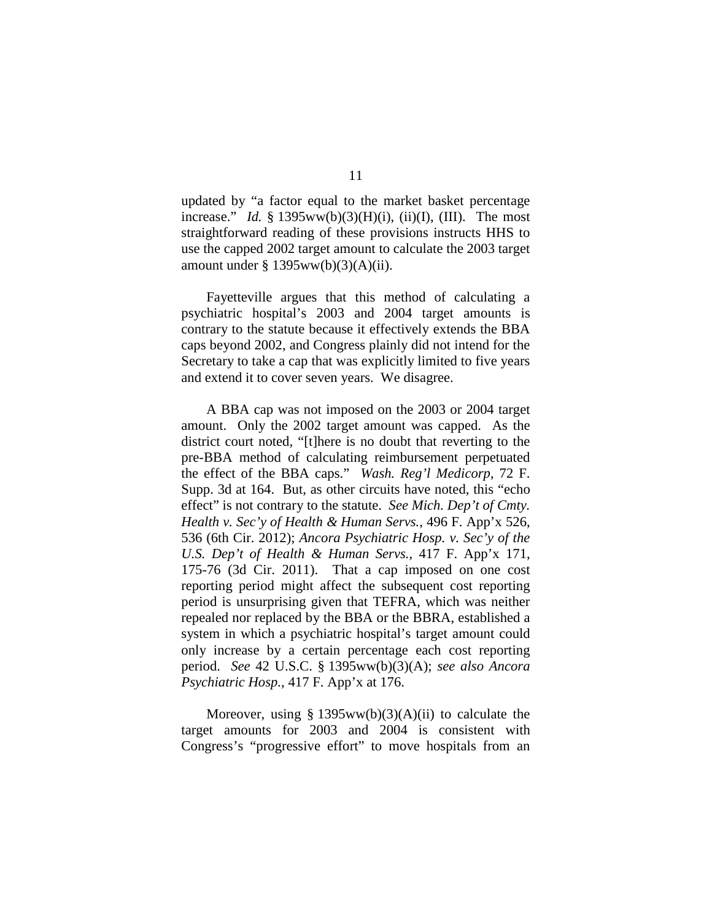updated by "a factor equal to the market basket percentage increase." *Id.* §  $1395ww(b)(3)(H)(i)$ , (ii)(I), (III). The most straightforward reading of these provisions instructs HHS to use the capped 2002 target amount to calculate the 2003 target amount under § 1395ww(b)(3)(A)(ii).

Fayetteville argues that this method of calculating a psychiatric hospital's 2003 and 2004 target amounts is contrary to the statute because it effectively extends the BBA caps beyond 2002, and Congress plainly did not intend for the Secretary to take a cap that was explicitly limited to five years and extend it to cover seven years. We disagree.

A BBA cap was not imposed on the 2003 or 2004 target amount. Only the 2002 target amount was capped. As the district court noted, "[t]here is no doubt that reverting to the pre-BBA method of calculating reimbursement perpetuated the effect of the BBA caps." *Wash. Reg'l Medicorp*, 72 F. Supp. 3d at 164. But, as other circuits have noted, this "echo effect" is not contrary to the statute. *See Mich. Dep't of Cmty. Health v. Sec'y of Health & Human Servs.*, 496 F. App'x 526, 536 (6th Cir. 2012); *Ancora Psychiatric Hosp. v. Sec'y of the U.S. Dep't of Health & Human Servs.*, 417 F. App'x 171, 175-76 (3d Cir. 2011). That a cap imposed on one cost reporting period might affect the subsequent cost reporting period is unsurprising given that TEFRA, which was neither repealed nor replaced by the BBA or the BBRA, established a system in which a psychiatric hospital's target amount could only increase by a certain percentage each cost reporting period. *See* 42 U.S.C. § 1395ww(b)(3)(A); *see also Ancora Psychiatric Hosp.*, 417 F. App'x at 176.

Moreover, using  $\S 1395ww(b)(3)(A)(ii)$  to calculate the target amounts for 2003 and 2004 is consistent with Congress's "progressive effort" to move hospitals from an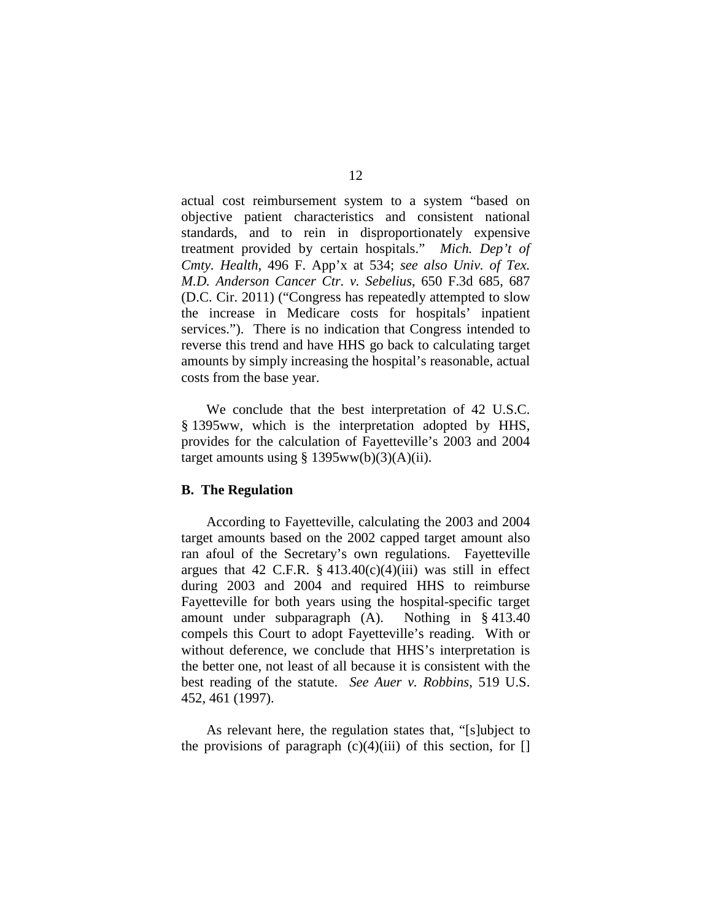actual cost reimbursement system to a system "based on objective patient characteristics and consistent national standards, and to rein in disproportionately expensive treatment provided by certain hospitals." *Mich. Dep't of Cmty. Health*, 496 F. App'x at 534; *see also Univ. of Tex. M.D. Anderson Cancer Ctr. v. Sebelius*, 650 F.3d 685, 687 (D.C. Cir. 2011) ("Congress has repeatedly attempted to slow the increase in Medicare costs for hospitals' inpatient services."). There is no indication that Congress intended to reverse this trend and have HHS go back to calculating target amounts by simply increasing the hospital's reasonable, actual costs from the base year.

We conclude that the best interpretation of 42 U.S.C. § 1395ww, which is the interpretation adopted by HHS, provides for the calculation of Fayetteville's 2003 and 2004 target amounts using  $\S 1395ww(b)(3)(A)(ii)$ .

#### **B. The Regulation**

According to Fayetteville, calculating the 2003 and 2004 target amounts based on the 2002 capped target amount also ran afoul of the Secretary's own regulations. Fayetteville argues that 42 C.F.R.  $\S$  413.40(c)(4)(iii) was still in effect during 2003 and 2004 and required HHS to reimburse Fayetteville for both years using the hospital-specific target amount under subparagraph (A). Nothing in § 413.40 compels this Court to adopt Fayetteville's reading. With or without deference, we conclude that HHS's interpretation is the better one, not least of all because it is consistent with the best reading of the statute. *See Auer v. Robbins*, 519 U.S. 452, 461 (1997).

As relevant here, the regulation states that, "[s]ubject to the provisions of paragraph  $(c)(4)(iii)$  of this section, for  $[]$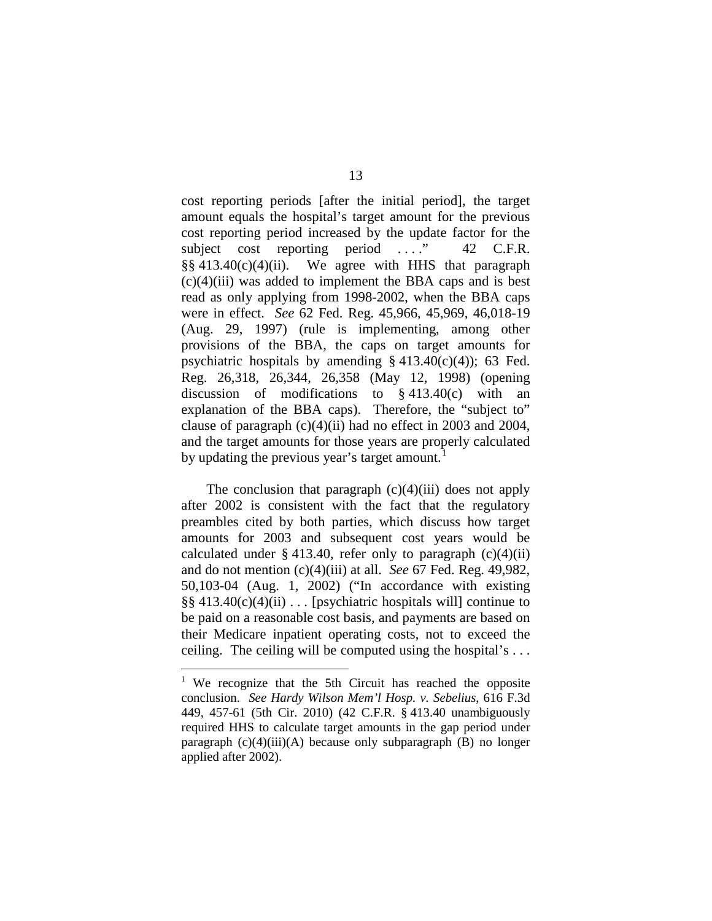cost reporting periods [after the initial period], the target amount equals the hospital's target amount for the previous cost reporting period increased by the update factor for the subject cost reporting period ...." 42 C.F.R.  $\S$ § 413.40(c)(4)(ii). We agree with HHS that paragraph  $(c)(4)(iii)$  was added to implement the BBA caps and is best read as only applying from 1998-2002, when the BBA caps were in effect. *See* 62 Fed. Reg. 45,966, 45,969, 46,018-19 (Aug. 29, 1997) (rule is implementing, among other provisions of the BBA, the caps on target amounts for psychiatric hospitals by amending  $\S$  413.40(c)(4)); 63 Fed. Reg. 26,318, 26,344, 26,358 (May 12, 1998) (opening discussion of modifications to § 413.40(c) with an explanation of the BBA caps). Therefore, the "subject to" clause of paragraph (c)(4)(ii) had no effect in 2003 and 2004, and the target amounts for those years are properly calculated by updating the previous year's target amount.<sup>[1](#page-12-0)</sup>

The conclusion that paragraph  $(c)(4)(iii)$  does not apply after 2002 is consistent with the fact that the regulatory preambles cited by both parties, which discuss how target amounts for 2003 and subsequent cost years would be calculated under § 413.40, refer only to paragraph  $(c)(4)(ii)$ and do not mention (c)(4)(iii) at all. *See* 67 Fed. Reg. 49,982, 50,103-04 (Aug. 1, 2002) ("In accordance with existing  $\S$ § 413.40(c)(4)(ii) ... [psychiatric hospitals will] continue to be paid on a reasonable cost basis, and payments are based on their Medicare inpatient operating costs, not to exceed the ceiling. The ceiling will be computed using the hospital's . . .

<span id="page-12-0"></span><sup>&</sup>lt;sup>1</sup> We recognize that the 5th Circuit has reached the opposite conclusion. *See Hardy Wilson Mem'l Hosp. v. Sebelius*, 616 F.3d 449, 457-61 (5th Cir. 2010) (42 C.F.R. § 413.40 unambiguously required HHS to calculate target amounts in the gap period under paragraph (c)(4)(iii)(A) because only subparagraph (B) no longer applied after 2002).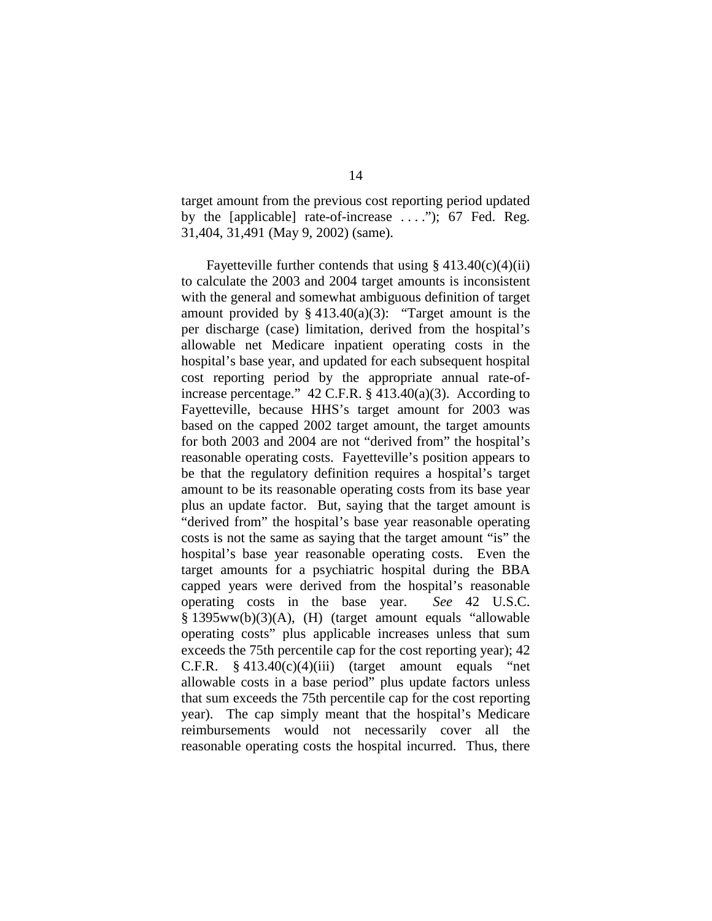target amount from the previous cost reporting period updated by the [applicable] rate-of-increase ...."); 67 Fed. Reg. 31,404, 31,491 (May 9, 2002) (same).

Fayetteville further contends that using  $\S 413.40(c)(4)(ii)$ to calculate the 2003 and 2004 target amounts is inconsistent with the general and somewhat ambiguous definition of target amount provided by  $§$  413.40(a)(3): "Target amount is the per discharge (case) limitation, derived from the hospital's allowable net Medicare inpatient operating costs in the hospital's base year, and updated for each subsequent hospital cost reporting period by the appropriate annual rate-ofincrease percentage." 42 C.F.R. § 413.40(a)(3). According to Fayetteville, because HHS's target amount for 2003 was based on the capped 2002 target amount, the target amounts for both 2003 and 2004 are not "derived from" the hospital's reasonable operating costs. Fayetteville's position appears to be that the regulatory definition requires a hospital's target amount to be its reasonable operating costs from its base year plus an update factor. But, saying that the target amount is "derived from" the hospital's base year reasonable operating costs is not the same as saying that the target amount "is" the hospital's base year reasonable operating costs. Even the target amounts for a psychiatric hospital during the BBA capped years were derived from the hospital's reasonable operating costs in the base year. *See* 42 U.S.C. § 1395ww(b)(3)(A), (H) (target amount equals "allowable operating costs" plus applicable increases unless that sum exceeds the 75th percentile cap for the cost reporting year); 42 C.F.R.  $§$  413.40(c)(4)(iii) (target amount equals "net allowable costs in a base period" plus update factors unless that sum exceeds the 75th percentile cap for the cost reporting year). The cap simply meant that the hospital's Medicare reimbursements would not necessarily cover all the reasonable operating costs the hospital incurred. Thus, there